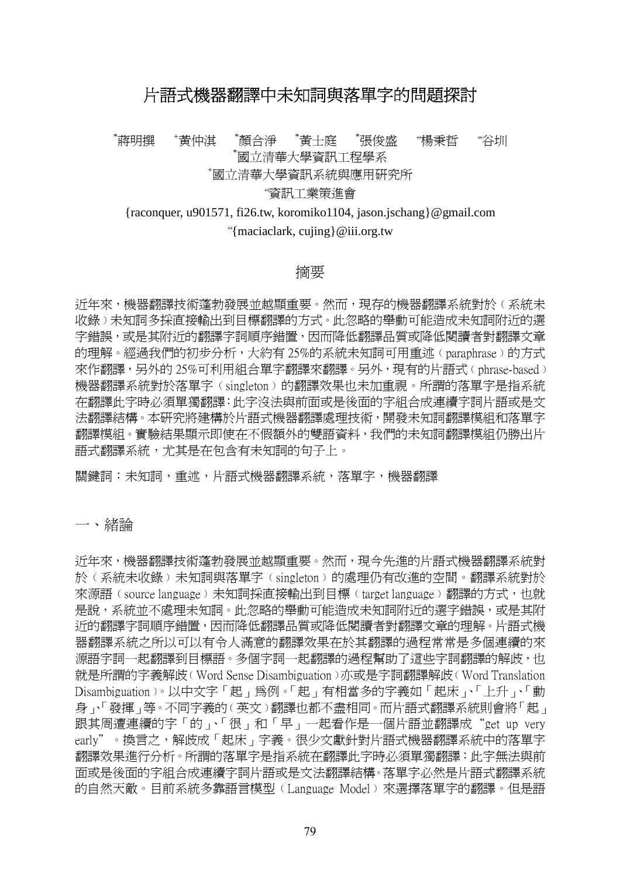# 片語式機器翻譯中未知詞與落單字的問題探討

\*蔣明撰 <sup>+</sup>黃仲淇 \*顏合淨 \*黃士庭 \*張俊盛 \*楊秉哲 ++ 谷圳 \*國立清華大學資訊工程學系 <sup>+</sup>國立清華大學資訊系統與應用研究所

#### ++ 資訊工業策進會

{raconquer, u901571, fi26.tw, koromiko1104, jason.jschang}@gmail.com ++ {maciaclark, cujing}@iii.org.tw

## 摘要

近年來,機器翻譯技術蓬勃發展並越顯重要。然而,現存的機器翻譯系統對於 (系統未 收錄)未知詞多採直接輸出到目標翻譯的方式。此忽略的舉動可能造成未知詞附近的選 字錯誤,或是其附沂的翻譯字詞順序錯置,因而降低翻譯品質或降低閣讀者對翻譯文章 的理解。經過我們的初步分析,大約有 25%的系統未知詞可用重述(paraphrase)的方式 來作翻譯,另外的 25%可利用組合單字翻譯來翻譯。另外,現有的片語式(phrase-based) 機器翻譯系統對於落單字﹙singleton﹚的翻譯效果也未加重視。所謂的落單字是指系統 在翻譯此字時必須單獨翻譯:此字沒法與前面或是後面的字組合成連續字詞片語或是文 法翻譯結構。本研究將建構於片語式機器翻譯處理技術,開發未知詞翻譯模組和落單字 翻譯模組。實驗結果顯示即使在不假額外的雙語資料,我們的未知詞翻譯模組仍勝出片 語式翻譯系統,尤其是在包含有未知詞的句子上。

關鍵詞:未知詞,重述,片語式機器翻譯系統,落單字,機器翻譯

一、緒論

近年來,機器翻譯技術蓬勃發展並越顯重要。然而,現今先進的片語式機器翻譯系統對 於﹙系統未收錄﹚未知詞與落單字﹙singleton﹚的處理仍有改進的空間。翻譯系統對於 來源語(source language)未知詞採直接輸出到目標(target language)翻譯的方式,也就 是說,系統並不處理未知詞。此忽略的舉動可能造成未知詞附近的選字錯誤,或是其附 近的翻譯字詞順序錯置,因而降低翻譯品質或降低閱讀者對翻譯文章的理解。片語式機 器翻譯系統之所以可以有令人滿意的翻譯效果在於其翻譯的過程常常是多個連續的來 源語字詞一起翻譯到目標語。多個字詞一起翻譯的過程幫助了這些字詞翻譯的解歧,也 就是所謂的字義解歧﹙Word Sense Disambiguation﹚亦或是字詞翻譯解歧﹙Word Translation Disambiguation﹚。以中文字「起」為例。「起」有相當多的字義如「起床」、「上升」、「動 身」、「發揮」等。不同字義的∪英文冫翻譯也都不盡相同。而片語式翻譯系統則會將「起」 跟其周遭連續的字「的」、「很」和「早」一起看作是一個片語並翻譯成"get up very early"。換言之,解歧成「起床」字義。很少文獻針對片語式機器翻譯系統中的落單字 翻譯效果進行分析。所謂的落單字是指系統在翻譯此字時必須單獨翻譯:此字無法與前 面或是後面的字組合成連續字詞片語或是文法翻譯結構。落單字必然是片語式翻譯系統 的自然天敵。目前系統多靠語言模型﹙Language Model﹚來選擇落單字的翻譯。但是語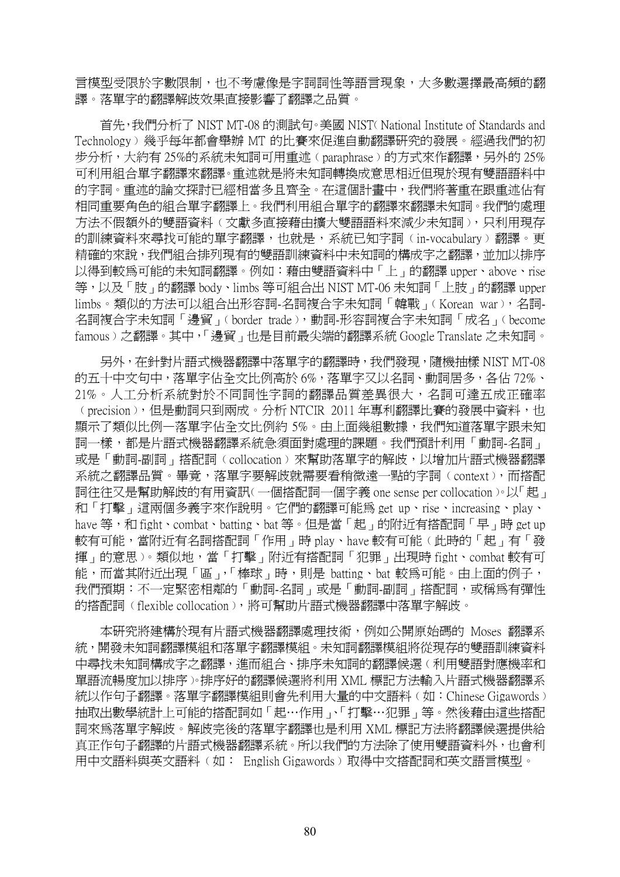言模型受限於字數限制,也不考慮像是字詞詞性等語言現象,大多數選擇最高頻的翻 譯。落單字的翻譯解歧效果直接影響了翻譯之品質。

 首先,我們分析了 NIST MT-08 的測試句。美國 NIST﹙National Institute of Standards and Technology﹚幾乎每年都會舉辦 MT 的比賽來促進自動翻譯研究的發展。經過我們的初 步分析,大約有 25%的系統未知詞可用重述﹙paraphrase﹚的方式來作翻譯,另外的 25% 可利用組合單字翻譯來翻譯。重述就是將未知詞轉換成意思相近但現於現有雙語語料中 的字詞。重述的論文探討已經相當多且齊全。在這個計畫中,我們將著重在跟重述佔有 相同重要角色的組合單字翻譯上。我們利用組合單字的翻譯來翻譯未知詞。我們的處理 方法不假額外的雙語資料(文獻多直接藉由擴大雙語語料來減少未知詞),只利用現存 的訓練資料來尋找可能的單字翻譯,也就是,系統已知字詞(in-vocabulary)翻譯。更 精確的來說,我們組合排列現有的雙語訓練資料中未知詞的構成字之翻譯,並加以排序 以得到較為可能的未知詞翻譯。例如:藉由雙語資料中「上」的翻譯 upper、above、rise 等,以及「肢」的翻譯 body、limbs 等可組合出 NIST MT-06 未知詞「上肢」的翻譯 upper limbs。類似的方法可以組合出形容詞-名詞複合字未知詞「韓戰」﹙Korean war﹚,名詞-名詞複合字未知詞「邊貿」(border trade),動詞-形容詞複合字未知詞「成名」(become famous)之翻譯。其中,「邊貿」也是目前最尖端的翻譯系統 Google Translate 之未知詞。

 另外,在針對片語式機器翻譯中落單字的翻譯時,我們發現,隨機抽樣 NIST MT-08 的五十中文句中,落單字佔全文比例高於 6%,落單字又以名詞、動詞居多,各佔 72%、 21%。人工分析系統對於不同詞性字詞的翻譯品質差異很大,名詞可達五成正確率 (precision),但是動詞只到兩成。分析 NTCIR 2011 年專利翻譯比賽的發展中資料,也 顯示了類似比例—落單字佔全文比例約 5%。由上面幾組數據,我們知道落單字跟未知 詞一樣,都是片語式機器翻譯系統急須面對處理的課題。我們預計利用「動詞-名詞」 或是「動詞-副詞」搭配詞(collocation)來幫助落單字的解歧,以增加片語式機器翻譯 系統之翻譯品質。畢竟,落單字要解歧就需要看稍微遠一點的字詞(context),而搭配 詞往往又是幫助解歧的有用資訊﹙一個搭配詞一個字義 one sense per collocation﹚。以「起」 和「打擊」這兩個多義字來作說明。它們的翻譯可能為 get up、rise、increasing、play、 have 等,和 fight、combat、batting、bat 等。但是當「起」的附近有搭配詞「早」時 get up 較有可能,當附近有名詞搭配詞「作用」時 play、have 較有可能(此時的「起」有「發 揮」的意思﹚。類似地,當「打擊」附近有搭配詞「犯罪」出現時 fight、combat 較有可 能,而當其附近出現「區」,「棒球」時,則是 batting、bat 較為可能。由上面的例子, 我們預期:不一定緊密相鄰的「動詞-名詞」或是「動詞-副詞」搭配詞,或稱為有彈性 的搭配詞(flexible collocation), 將可幫助片語式機器翻譯中落單字解歧。

 本研究將建構於現有片語式機器翻譯處理技術,例如公開原始碼的 Moses 翻譯系 統,開發未知詞翻譯模組和落單字翻譯模組。未知詞翻譯模組將從現存的雙語訓練資料 中尋找未知詞構成字之翻譯,進而組合、排序未知詞的翻譯候選﹙利用雙語對應機率和 單語流暢度加以排序﹚。排序好的翻譯候選將利用 XML 標記方法輸入片語式機器翻譯系 統以作句子翻譯。落單字翻譯模組則會先利用大量的中文語料‹如:Chinese Gigawords〉 抽取出數學統計上可能的搭配詞如「起…作用」、「打擊…犯罪」等。然後藉由這些搭配 詞來為落單字解歧。解歧完後的落單字翻譯也是利用 XML 標記方法將翻譯候選提供給 真正作句子翻譯的片語式機器翻譯系統。所以我們的方法除了使用雙語資料外,也會利 用中文語料與英文語料(如: English Gigawords) 取得中文搭配詞和英文語言模型。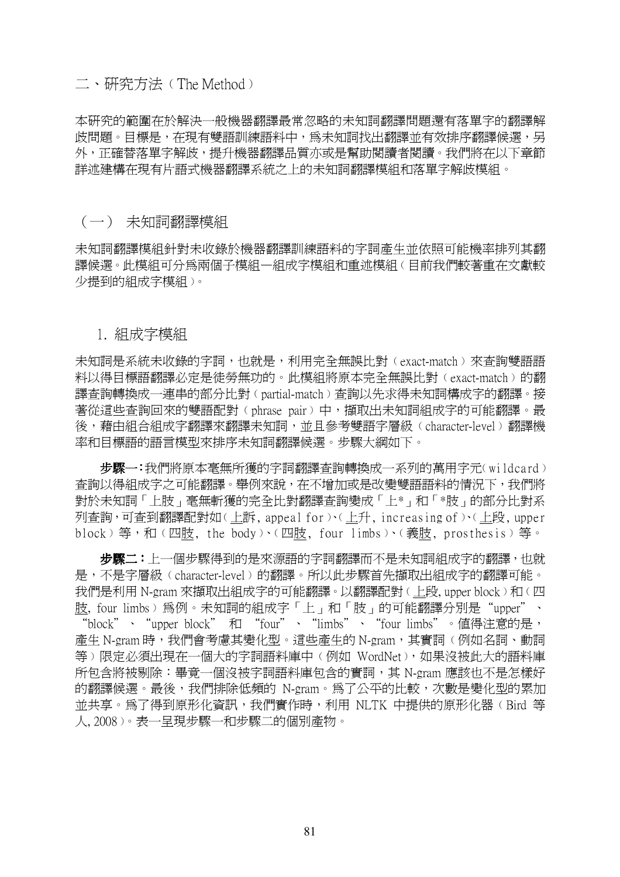二、研究方法(The Method)

本研究的範圍在於解決一般機器翻譯最常忽略的未知詞翻譯問題還有落單字的翻譯解 歧問題。目標是,在現有雙語訓練語料中,為未知詞找出翻譯並有效排序翻譯候選,另 外,正確替落單字解歧,提升機器翻譯品質亦或是幫助閱讀者閱讀。我們將在以下章節 詳述建構在現有片語式機器翻譯系統之上的未知詞翻譯模組和落單字解歧模組。

### (一) 未知詞翻譯模組

未知詞翻譯模組針對未收錄於機器翻譯訓練語料的字詞產生並依照可能機率排列其翻 譯候選。此模組可分爲兩個子模組—組成字模組和重述模組(目前我們較著重在文獻較 少提到的組成字模組〉。

#### 1. 組成字模組

未知詞是系統未收錄的字詞,也就是,利用完全無誤比對(exact-match)來杳詢雙語語 料以得目標語翻譯必定是徒勞無功的。此模組將原本完全無誤比對﹙exact-match﹚的翻 譯查詢轉換成一連串的部分比對﹙partial-match﹚查詢以先求得未知詞構成字的翻譯。接 著從這些查詢回來的雙語配對(phrase pair)中,擷取出未知詞組成字的可能翻譯。最 後,藉由組合組成字翻譯來翻譯未知詞,並且參考雙語字層級(character-level)翻譯機 率和目標語的語言模型來排序未知詞翻譯候選。步驟大綱如下。

步驟一:我們將原本毫無所獲的字詞翻譯查詢轉換成一系列的萬用字元(wildcard) 查詢以得組成字之可能翻譯。舉例來說,在不增加或是改變雙語語料的情況下,我們將 對於未知詞「上肢」毫無斬獲的完全比對翻譯查詢變成「上\*」和「\*肢」的部分比對系 列查詢,可查到翻譯配對如(上訴, appeal for )(上升, increasing of )(上段, upper block)等,和(四肢, the body)、(四肢, four limbs)、(義肢, prosthesis)等。

步驟二:上一個步驟得到的是來源語的字詞翻譯而不是未知詞組成字的翻譯,也就 是,不是字層級﹙character-level﹚的翻譯。所以此步驟首先擷取出組成字的翻譯可能。 我們是利用 N-gram 來擷取出組成字的可能翻譯。以翻譯配對(上段, upper block)和(四 肢, four limbs) 為例。未知詞的組成字「上」和「肢」的可能翻譯分別是"upper"、 "block"、"upper block" 和 "four"、"limbs"、"four limbs"。值得注意的是, 產生 N-gram 時,我們會考慮其變化型。這些產生的 N-gram, 其實詞(例如名詞、動詞 等)限定必須出現在一個大的字詞語料庫中(例如 WordNet), 如果沒被此大的語料庫 所包含將被剔除:畢竟一個沒被字詞語料庫包含的實詞,其 N-gram 應該也不是怎樣好 的翻譯候選。最後,我們排除低頻的 N-gram。為了公平的比較,次數是變化型的累加 並共享。為了得到原形化資訊,我們實作時,利用 NLTK 中提供的原形化器﹙Bird 等 人, 2008﹚。表一呈現步驟一和步驟二的個別產物。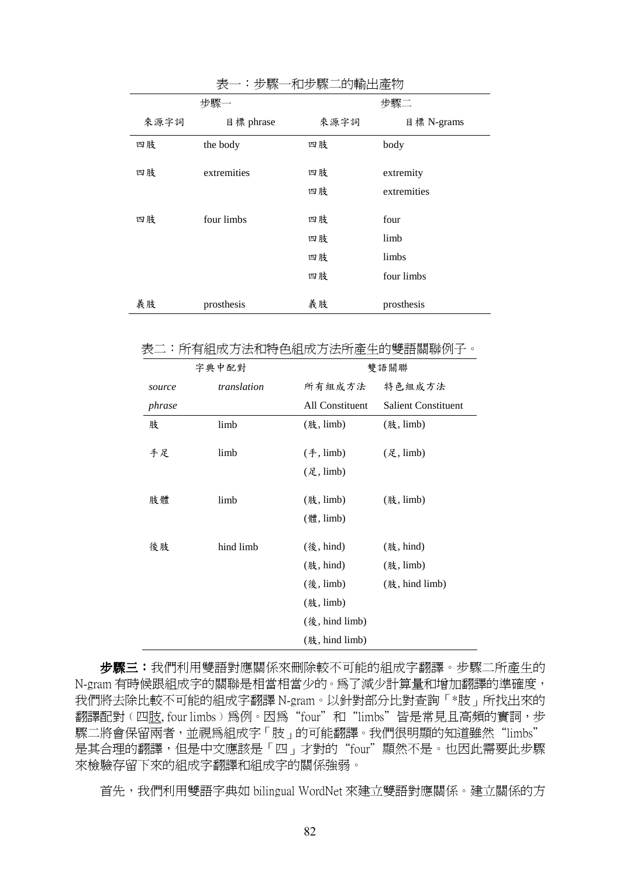|      | グレ<br>・ シ ツハ | /  H´ノ /  / ハ-──HJナflリ    / 上    /丿 |             |  |
|------|--------------|-------------------------------------|-------------|--|
| 步驟一  |              | 步驟二                                 |             |  |
| 來源字詞 | 目標 phrase    | 來源字詞                                | 目標 N-grams  |  |
| 四肢   | the body     | 四肢                                  | body        |  |
| 四肢   | extremities  | 四肢                                  | extremity   |  |
|      |              | 四肢                                  | extremities |  |
| 四肢   | four limbs   | 四肢                                  | four        |  |
|      |              | 四肢                                  | limb        |  |
|      |              | 四肢                                  | limbs       |  |
|      |              | 四肢                                  | four limbs  |  |
| 義肢   | prosthesis   | 義肢                                  | prosthesis  |  |

表一: 步驟一和步驟二的輪出產物

表二:所有組成方法和特色組成方法所產生的雙語關聯例子。

| 字典中配對  |             |                                                                       | 雙語關聯                       |  |
|--------|-------------|-----------------------------------------------------------------------|----------------------------|--|
| source | translation | 所有組成方法                                                                | 特色組成方法                     |  |
| phrase |             | All Constituent                                                       | <b>Salient Constituent</b> |  |
| 肢      | limb        | (肢, limb)                                                             | (肢, limb)                  |  |
| 手足     | limb        | $(\text{\textsterling}, \text{limb})$<br>$(\mathcal{R}, \text{limb})$ | (足, limb)                  |  |
| 肢體     | limb        | (肢, limb)                                                             | $(8, 1$ imb)               |  |
|        |             | (體, limb)                                                             |                            |  |
| 後肢     | hind limb   | (後, hind)                                                             | (肢, hind)                  |  |
|        |             | (肢, hind)                                                             | (肢, limb)                  |  |
|        |             | $({@},$ limb)                                                         | (肢, hind limb)             |  |
|        |             | (肢, limb)                                                             |                            |  |
|        |             | (後, hind limb)                                                        |                            |  |
|        |             | (肢, hind limb)                                                        |                            |  |

步驟三:我們利用雙語對應關係來刪除較不可能的組成字翻譯。步驟二所產生的 N-gram 有時候跟組成字的關聯是相當相當少的。為了減少計算量和增加翻譯的準確度, 我們將去除比較不可能的組成字翻譯 N-gram。以針對部分比對查詢「\*肢」所找出來的 翻譯配對﹙四肢, four limbs﹚為例。因為"four"和"limbs"皆是常見且高頻的實詞,步 驟二將會保留兩者,並視為組成字「肢」的可能翻譯。我們很明顯的知道雖然"limbs" 是其合理的翻譯,但是中文應該是「四」才對的"four"顯然不是。也因此需要此步驟 來檢驗存留下來的組成字翻譯和組成字的關係強弱。

首先,我們利用雙語字典如 bilingual WordNet 來建立雙語對應關係。建立關係的方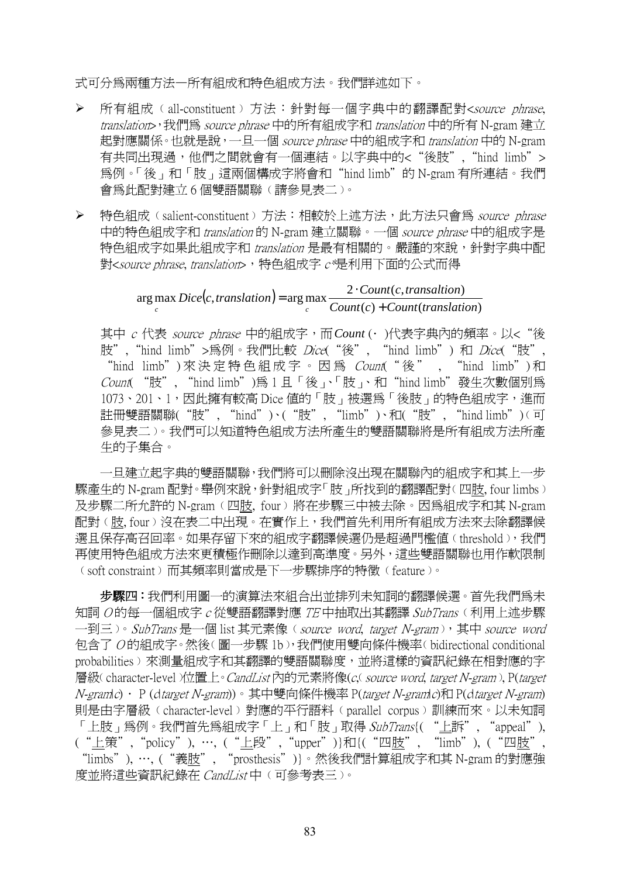式可分為兩種方法—所有組成和特色組成方法。我們詳述如下。

- ▶ 所有組成(all-constituent)方法:針對每一個字典中的翻譯配對<source phrase, translation>, 我們為 source phrase 中的所有組成字和 translation 中的所有 N-gram 建立 起對應關係。也就是說,一旦一個 source phrase 中的組成字和 translation 中的 N-gram 有共同出現過,他們之間就會有一個連結。以字典中的<"後肢", "hind limb"> 為例。「後」和「肢」這兩個構成字將會和"hind limb"的 N-gram 有所連結。我們 會為此配對建立 6 個雙語關聯﹙請參見表二﹚。
- ▶ 特色組成(salient-constituent)方法:相較於上述方法,此方法只會為 source phrase 中的特色組成字和 translation 的 N-gram 建立關聯。一個 source phrase 中的組成字是 特色組成字如果此組成字和 translation 是最有相關的。嚴謹的來說, 針對字典中配 對<source phrase, translation>,特色組成字 <sup>c</sup>\*是利用下面的公式而得

 $(c, translation)$  $(c)$  + Count (translation) arg max  $Dice(c, translation) = \arg max \frac{2 \cdot Count(c, translation)}{2}$ *Count c Count translation*  $Dice(c, translation) = \arg \max \frac{2 \cdot Count(c, translation)}{2 \cdot f}$  $\sum_{c}$  *c c c c c c c c <i>c c c c <i>c c c <i>c c c c c d nt*(*c*) +  $=\arg \max \frac{2}{\log \frac{1}{2}}$ 

其中 c 代表 source phrase 中的組成字,而 Count (• )代表字典內的頻率。以< "後 肢", "hind limb">為例。我們比較 Dice("後", "hind limb") 和 Dice("肢", "hind limb") 來 決 定 特 色 組 成 字 。 因 為 Count(" 後 " , "hind limb") 和 Count( "肢", "hind limb")為 1 且「後」、「肢」、和"hind limb"發生次數個別為 1073、201、1,因此擁有較高 Dice 值的「肢」被選為「後肢」的特色組成字,進而 註冊雙語關聯("肢", "hind")、("肢", "limb")、和("肢", "hind limb")(可 參見表二﹚。我們可以知道特色組成方法所產生的雙語關聯將是所有組成方法所產 生的子集合。

一旦建立起字典的雙語關聯,我們將可以刪除沒出現在關聯內的組成字和其上一步 驟產生的 N-gram 配對。舉例來說,針對組成字「肢」所找到的翻譯配對(四肢, four limbs) 及步驟二所允許的 N-gram﹙四肢, four﹚將在步驟三中被去除。因為組成字和其 N-gram 配對﹙肢, four﹚沒在表二中出現。在實作上,我們首先利用所有組成方法來去除翻譯候 選且保存高召回率。如果存留下來的組成字翻譯候選仍是超過門檻値(threshold), 我們 再使用特色組成方法來更積極作刪除以達到高準度。另外,這些雙語關聯也用作軟限制 ﹙soft constraint﹚而其頻率則當成是下一步驟排序的特徵﹙feature﹚。

 步驟四:我們利用圖一的演算法來組合出並排列未知詞的翻譯候選。首先我們為未 知詞 $O$ 的每一個組成字 $c$ 從雙語翻譯對應  $TE$ 中抽取出其翻譯  $SubTrans$ (利用上述步驟 一到三)。SubTrans 是一個 list 其元素像(source word, target N-gram),其中 source word 包含了 O 的組成字。然後﹙圖一步驟 1b﹚,我們使用雙向條件機率﹙bidirectional conditional probabilities﹚來測量組成字和其翻譯的雙語關聯度,並將這樣的資訊紀錄在相對應的字 層級( character-level )位置上。*CandList* 內的元素將像(*c*, source word, target N-gram), P(target N-gramlc) • P (dtarget N-gram))。其中雙向條件機率 P(target N-gramlc)和 P(dtarget N-gram) 則是由字層級﹙character-level﹚對應的平行語料﹙parallel corpus﹚訓練而來。以未知詞 「上肢」為例。我們首先爲組成字「上」和「肢」取得 SubTrans{( "上訴", "appeal"), ("上策","policy"), …, ("上段","upper")}和{("四肢", "limb"), ("四肢", "limbs"), …, ("義肢", "prosthesis")}。然後我們計算組成字和其 N-gram 的對應強 度並將這些資訊紀錄在 CandList 中 (可參考表三)。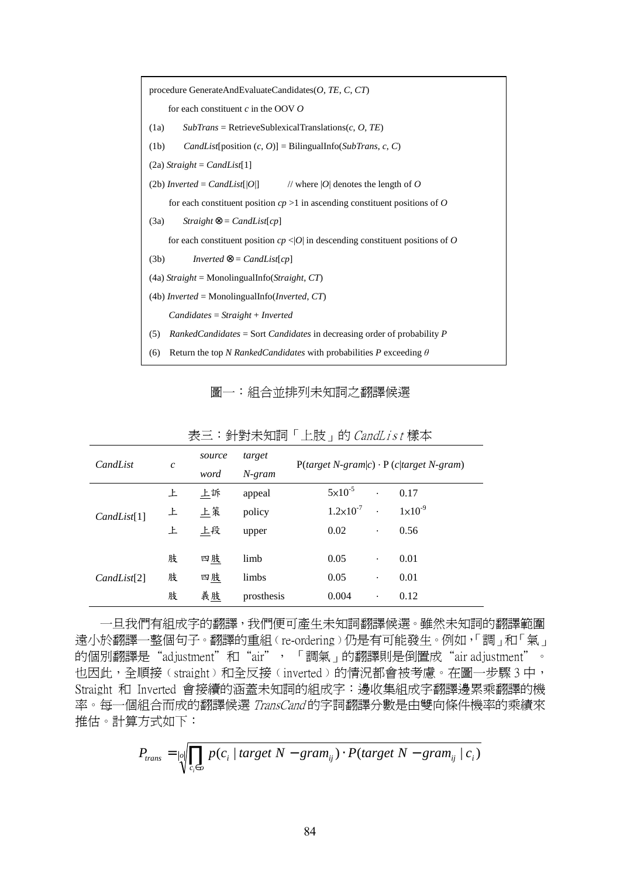

圖一:組合並排列未知詞之翻譯候選

| CandList    | $\boldsymbol{c}$ | source | target     | $P(target N-gram c) \cdot P(c target N-gram)$ |                    |
|-------------|------------------|--------|------------|-----------------------------------------------|--------------------|
|             |                  | word   | $N$ -gram  |                                               |                    |
|             | 上                | 上訴     | appeal     | $5 \times 10^{-5}$<br>$\cdot$                 | 0.17               |
| CandList[1] | 上                | 上策     | policy     | $1.2 \times 10^{-7}$<br>$\ddot{\phantom{0}}$  | $1 \times 10^{-9}$ |
|             | 上                | 上段     | upper      | 0.02<br>$\bullet$                             | 0.56               |
|             |                  |        |            |                                               |                    |
|             | 肢                | 四肢     | limb       | 0.05<br>$\bullet$                             | 0.01               |
| CandList[2] | 肢                | 四肢     | limbs      | 0.05<br>$\bullet$                             | 0.01               |
|             | 肢                | 義肢     | prosthesis | 0.004<br>$\bullet$                            | 0.12               |

表三:針對未知詞「上肢」的 CandList 樣本

 一旦我們有組成字的翻譯,我們便可產生未知詞翻譯候選。雖然未知詞的翻譯範圍 遠小於翻譯一整個句子。翻譯的重組﹙re-ordering﹚仍是有可能發生。例如,「調」和「氣」 的個別翻譯是"adjustment"和"air", 「調氣」的翻譯則是倒置成"air adjustment"。 也因此,全順接﹙straight﹚和全反接﹙inverted﹚的情況都會被考慮。在圖一步驟 3 中, Straight 和 Inverted 會接續的涵蓋未知詞的組成字:邊收集組成字翻譯邊累乘翻譯的機 率。每一個組合而成的翻譯候選 TransCand 的字詞翻譯分數是由雙向條件機率的乘績來 推估。計算方式如下:

$$
P_{trans} = \log \left| \prod_{c_i \in o} p(c_i \mid target \mid N - gram_{ij}) \cdot P(target \mid N - gram_{ij} \mid c_i) \right|
$$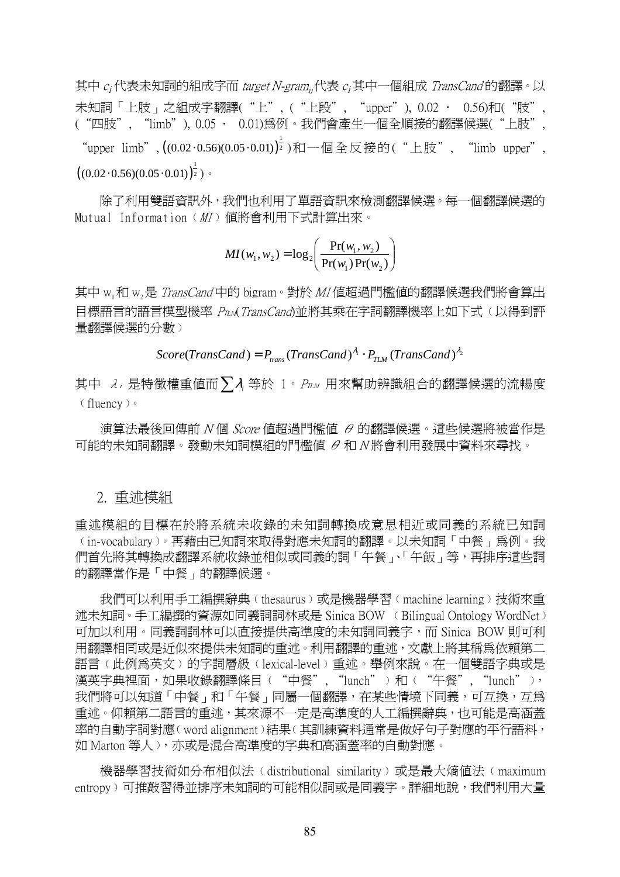其中 $c_i$ 代表未知詞的組成字而 target N-gram<sub>ii</sub>代表  $c_i$ 其中一個組成 TransCand 的翻譯。以 未知詞「上肢」之組成字翻譯("上", ("上段", "upper"), 0.02 · 0.56)和("肢" ("四肢", "limb"), 0.05 ∙ 0.01)為例。我們會產生一個全順接的翻譯候選("上肢", "upper limb",  $((0.02 \cdot 0.56)(0.05 \cdot 0.01))^{\frac{1}{2}}$  )和一個全反接的("上肢", "limb upper",  $\left( (0.02\cdot 0.56)(0.05\cdot 0.01) \right)^\frac{1}{2})$ 。

除了利用雙語資訊外,我們也利用了單語資訊來檢測翻譯候選。每一個翻譯候選的 Mutual Information (MI) 值將會利用下式計算出來。

$$
MI(w_1, w_2) = \log_2\left(\frac{\Pr(w_1, w_2)}{\Pr(w_1)\Pr(w_2)}\right)
$$

其中 w<sub>1</sub>和 w<sub>2</sub>是 TransCand 中的 bigram。對於 MI 值超過門檻値的翻譯候選我們將會算出 目標語言的語言模型機率 Prum(TransCand)並將其乘在字詞翻譯機率上如下式(以得到評 量翻譯候選的分數)

 $Score(TransCand) = P_{trans}(TransCand)^{\lambda_i} \cdot P_{TLM}(TransCand)^{\lambda_2}$ 

其中  $\lambda_i$ 是特徵權重值而  $\sum \lambda_i$  等於 1。 PπM 用來幫助辨識組合的翻譯候選的流暢度 ﹙fluency﹚。

演算法最後回傳前 N 個 Score 值超過門檻值 θ 的翻譯候選。這些候選將被當作是 可能的未知詞翻譯。發動未知詞模組的門檻值 θ 和 N 將會利用發展中資料來尋找。

## 2. 重述模組

重述模組的目標在於將系統未收錄的未知詞轉換成意思相近或同義的系統已知詞 ﹙in-vocabulary﹚。再藉由已知詞來取得對應未知詞的翻譯。以未知詞「中餐」為例。我 們首先將其轉換成翻譯系統收錄並相似或同義的詞「午餐」、「午飯」等,再排序這些詞 的翻譯當作是「中餐」的翻譯候選。

 我們可以利用手工編撰辭典﹙thesaurus﹚或是機器學習﹙machine learning﹚技術來重 述未知詞。手工編撰的資源如同義詞詞林或是 Sinica BOW ﹙Bilingual Ontology WordNet﹚ 可加以利用。同義詞詞林可以直接提供高準度的未知詞同義字,而 Sinica BOW 則可利 用翻譯相同或是沂似來提供未知詞的重述。利用翻譯的重述,文獻上將其稱爲依賴第二 語言(此例爲英文〉的字詞層級(lexical-level)重述。舉例來說。在一個雙語字典或是 漢英字典裡面,如果收錄翻譯條目("中餐", "lunch"〉和("午餐", "lunch"〉, 我們將可以知道「中餐」和「午餐」同屬一個翻譯,在某些情境下同義,可互換,互為 重述。仰賴第二語言的重述,其來源不一定是高準度的人工編撰辭典,也可能是高涵蓋 率的自動字詞對應﹙word alignment﹚結果﹙其訓練資料通常是做好句子對應的平行語料, 如 Marton 等人﹚,亦或是混合高準度的字典和高涵蓋率的自動對應。

機器學習技術如分布相似法(distributional similarity)或是最大熵值法(maximum entropy)可推敲習得並排序未知詞的可能相似詞或是同義字。詳細地說,我們利用大量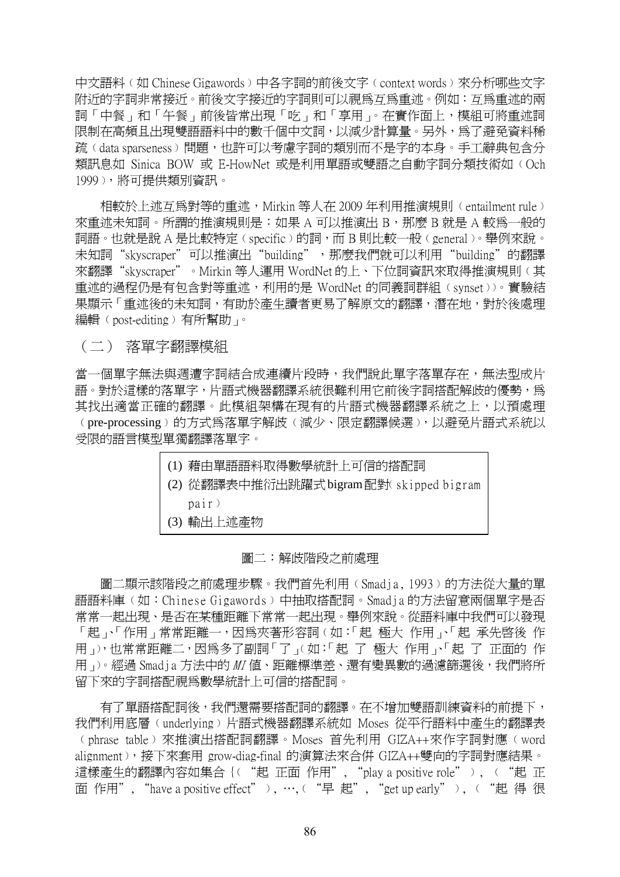中文語料(如 Chinese Gigawords)中各字詞的前後文字(context words) 來分析哪些文字 附近的字詞非常接近。前後文字接近的字詞則可以視為互為重述。例如:互為重述的兩 詞「中餐」和「午餐」前後皆常出現「吃」和「享用」。在實作面上,模組可將重述詞 限制在高頻且出現雙語語料中的數千個中文詞,以減少計算量。另外,為了避免資料稀 疏(data sparseness)問題,也許可以考慮字詞的類別而不是字的本身。手工辭典包含分 類訊息如 Sinica BOW 或 E-HowNet 或是利用單語或雙語之自動字詞分類技術如﹙Och 1999﹚,將可提供類別資訊。

相較於上述互爲對等的重述,Mirkin 等人在 2009 年利用推演規則(entailment rule) 來重述未知詞。所謂的推演規則是:如果 A 可以推演出 B,那麼 B 就是 A 較為一般的 詞語。也就是說 A 是比較特定﹙specific﹚的詞,而 B 則比較一般﹙general﹚。舉例來說。 未知詞"skyscraper"可以推演出"building",那麼我們就可以利用"building"的翻譯 來翻譯"skyscraper"。Mirkin 等人運用 WordNet 的上、下位詞資訊來取得推演規則﹙其 重述的過程仍是有包含對等重述,利用的是 WordNet 的同義詞群組﹙synset﹚﹚。實驗結 果顯示「重沭後的未知詞,有助於產生讀者更易了解原文的翻譯,潛在地,對於後處理 編輯(post-editing)有所幫助」。

(二) 落單字翻譯模組

當一個單字無法與週遭字詞結合成連續片段時,我們說此單字落單存在,無法型成片 語。對於這樣的落單字,片語式機器翻譯系統很難利用它前後字詞搭配解歧的優勢,為 其找出適當正確的翻譯。此模組架構在現有的片語式機器翻譯系統之上,以預處理 ﹙pre-processing﹚的方式為落單字解歧﹙減少、限定翻譯候選﹚,以避免片語式系統以 受限的語言模型單獨翻譯落單字。

|  | (1) 藉由單語語料取得數學統計上可信的搭配詞                   |
|--|-------------------------------------------|
|  | (2) 從翻譯表中推衍出跳躍式 bigram 配對( skipped bigram |
|  | pair)                                     |
|  | (3) 輸出上述產物                                |

#### 圖二:解歧階段之前處理

圖二顯示該階段之前處理步驟。我們首先利用(Smadja, 1993)的方法從大量的單 語語料庫(如:Chinese Gigawords)中抽取搭配詞。Smadia 的方法留意兩個單字是否 常常一起出現、是否在某種距離下常常一起出現。舉例來說。從語料庫中我們可以發現 「起、「作用」常常距離一,因為來著形容詞(如:「起 極大 作用 、「起 承先啓後 作 用」),也常常距離二,因為多了副詞「了」(如:「起 了 極大 作用」、「起 了 正面的 作 用」。經過 Smadja 方法中的 MI 值、距離標準差、還有變異數的過濾篩選後,我們將所 留下來的字詞搭配視為數學統計上可信的搭配詞。

有了單語搭配詞後,我們還需要搭配詞的翻譯。在不增加雙語訓練資料的前提下, 我們利用底層﹙underlying﹚片語式機器翻譯系統如 Moses 從平行語料中產生的翻譯表 ﹙phrase table﹚來推演出搭配詞翻譯。Moses 首先利用 GIZA++來作字詞對應﹙word alignment﹚,接下來套用 grow-diag-final 的演算法來合併 GIZA++雙向的字詞對應結果。 這樣產生的翻譯內容如集合{("起 正面作用","play a positive role"), ("起 正 面作用", "have a positive effect"), …, ("早起", "get up early"), ("起得很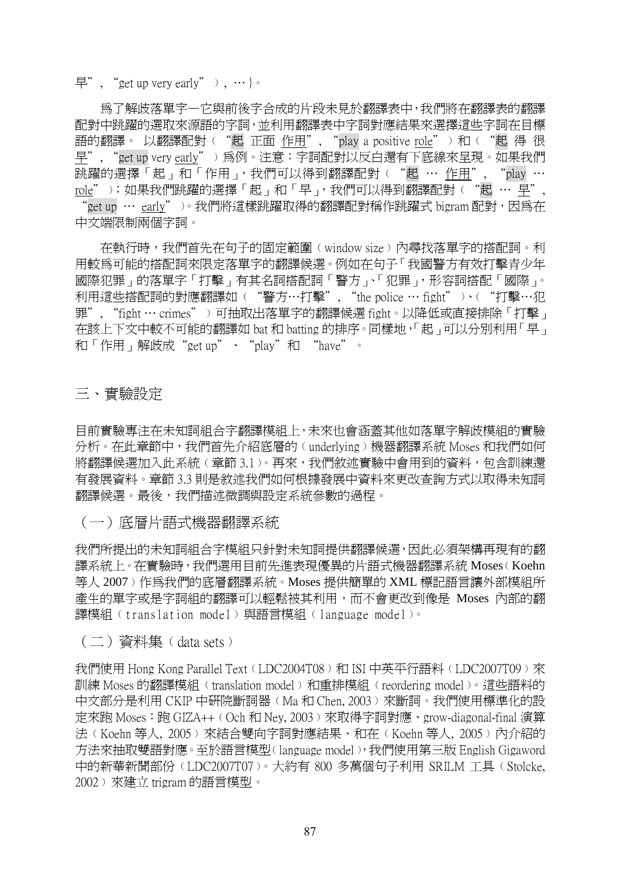早", "get up very early" ), …  $\}$ 。

 為了解歧落單字—它與前後字合成的片段未見於翻譯表中,我們將在翻譯表的翻譯 配對中跳躍的選取來源語的字詞,並利用翻譯表中字詞對應結果來選擇這些字詞在目標 語的翻譯。以翻譯配對("起 正面 作用", "play a positive role"〉和("起 得 很 早", "get up very early"﹚為例。注意:字詞配對以反白還有下底線來呈現。如果我們 跳躍的選擇「起」和「作用」,我們可以得到翻譯配對("起 … 作用", "play … role");如果我們跳躍的選擇「起」和「早」,我們可以得到翻譯配對("起 … 早", "get up … early" )。我們將這樣跳躍取得的翻譯配對稱作跳躍式 bigram 配對,因為在 中文端限制兩個字詞。

 在執行時,我們首先在句子的固定範圍﹙window size﹚內尋找落單字的搭配詞。利 用較為可能的搭配詞來限定落單字的翻譯候選。例如在句子「我國警方有效打擊青少年 國際犯罪」的落單字「打擊」有其名詞搭配詞「警方」、「犯罪」,形容詞搭配「國際」。 利用這些搭配詞的對應翻譯如("警方…打擊", "the police … fight" )、("打擊…犯 罪", "fight … crimes"﹚可抽取出落單字的翻譯候選 fight。以降低或直接排除「打擊」 在該上下文中較不可能的翻譯如 bat 和 batting 的排序。同樣地,「起」可以分別利用「早」 和「作用」解歧成"get up"、"play"和"have"。

三、實驗設定

目前實驗專注在未知詞組合字翻譯模組上,未來也會涵蓋其他如落單字解歧模組的實驗 分析。在此章節中,我們首先介紹底層的(underlying)機器翻譯系統 Moses 和我們如何 將翻譯候選加入此系統(章節 3.1)。再來,我們敘述實驗中會用到的資料,包含訓練還 有發展資料。章節 3.3 則是敘述我們如何根據發展中資料來更改查詢方式以取得未知詞 翻譯候選。最後,我們描述微調與設定系統參數的過程。

(一)底層片語式機器翻譯系統

我們所提出的未知詞組合字模組只針對未知詞提供翻譯候選,因此必須架構再現有的翻 譯系統上。在實驗時,我們選用目前先進表現優異的片語式機器翻譯系統 Moses (Koehn 等人 2007)作為我們的底層翻譯系統。Moses 提供簡單的 XML 標記語言讓外部模組所 產生的單字或是字詞組的翻譯可以輕鬆被其利用,而不會更改到像是 Moses 內部的翻 譯模組 (translation model)與語言模組 (language model)。

 $(\square)$  資料集 (data sets)

我們使用 Hong Kong Parallel Text (LDC2004T08)和 ISI 中英平行語料(LDC2007T09)來 訓練 Moses 的翻譯模組﹙translation model﹚和重排模組﹙reordering model﹚。這些語料的 中文部分是利用 CKIP 中研院斷詞器﹙Ma 和 Chen, 2003﹚來斷詞。我們使用標準化的設 定來跑 Moses:跑 GIZA++﹙Och 和 Ney, 2003﹚來取得字詞對應、grow-diagonal-final 演算 法(Koehn 等人, 2005)來結合雙向字詞對應結果、和在(Koehn 等人, 2005)內介紹的 方法來抽取雙語對應。至於語言模型﹙language model﹚,我們使用第三版 English Gigaword 中的新華新聞部份﹙LDC2007T07﹚。大約有 800 多萬個句子利用 SRILM 工具﹙Stolcke, 2002﹚來建立 trigram 的語言模型。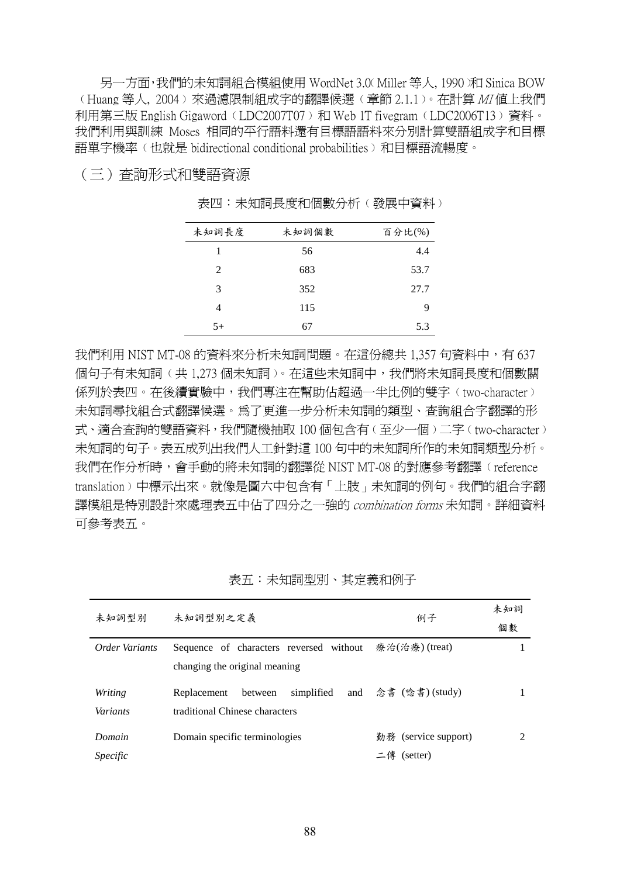另一方面,我們的未知詞組合模組使用 WordNet 3.0﹙Miller 等人, 1990﹚和 Sinica BOW ﹙Huang 等人, 2004﹚來過濾限制組成字的翻譯候選﹙章節 2.1.1﹚。在計算 MI 值上我們 利用第三版 English Gigaword﹙LDC2007T07﹚和 Web 1T fivegram﹙LDC2006T13﹚資料。 我們利用與訓練 Moses 相同的平行語料還有目標語語料來分別計算雙語組成字和目標 語單字機率﹙也就是 bidirectional conditional probabilities﹚和目標語流暢度。

#### (三)查詢形式和雙語資源

| 未知詞長度         | 未知詞個數 | 百分比(%) |
|---------------|-------|--------|
| 1             | 56    | 4.4    |
| $\mathcal{L}$ | 683   | 53.7   |
| 3             | 352   | 27.7   |
| 4             | 115   | 9      |
| $5+$          |       | 5.3    |

表四:未知詞長度和個數分析(發展中資料)

我們利用 NIST MT-08 的資料來分析未知詞問題。在這份總共 1,357 句資料中,有 637 個句子有未知詞(共 1,273 個未知詞)。在這些未知詞中,我們將未知詞長度和個數關 係列於表四。在後續實驗中,我們專注在幫助佔超過一半比例的雙字(two-character) 未知詞尋找組合式翻譯候選。為了更進一步分析未知詞的類型、查詢組合字翻譯的形 式、適合杳詢的雙語資料,我們隨機抽取 100 個句含有(至少一個)二字(two-character) 未知詞的句子。表五成列出我們人工針對這 100 句中的未知詞所作的未知詞類型分析。 我們在作分析時,會手動的將未知詞的翻譯從 NIST MT-08 的對應參考翻譯(reference translation﹚中標示出來。就像是圖六中包含有「上肢」未知詞的例句。我們的組合字翻 譯模組是特別設計來處理表五中佔了四分之一強的 combination forms 未知詞。詳細資料 可參考表五。

| 未知詞型別                      | 未知詞型別之定義                                                                 | 例子                                 | 未知詞<br>個數 |
|----------------------------|--------------------------------------------------------------------------|------------------------------------|-----------|
| Order Variants             | Sequence of characters reversed without<br>changing the original meaning | 療治(治療) (treat)                     |           |
|                            |                                                                          |                                    |           |
| Writing<br><i>Variants</i> | simplified<br>between<br>Replacement<br>traditional Chinese characters   | and $\hat{\otimes}$ 書 (唸書) (study) |           |
| Domain                     | Domain specific terminologies                                            | 勤務 (service support)               |           |
| <i>Specific</i>            |                                                                          | 二傳 (setter)                        |           |

表五:未知詞型別、其定義和例子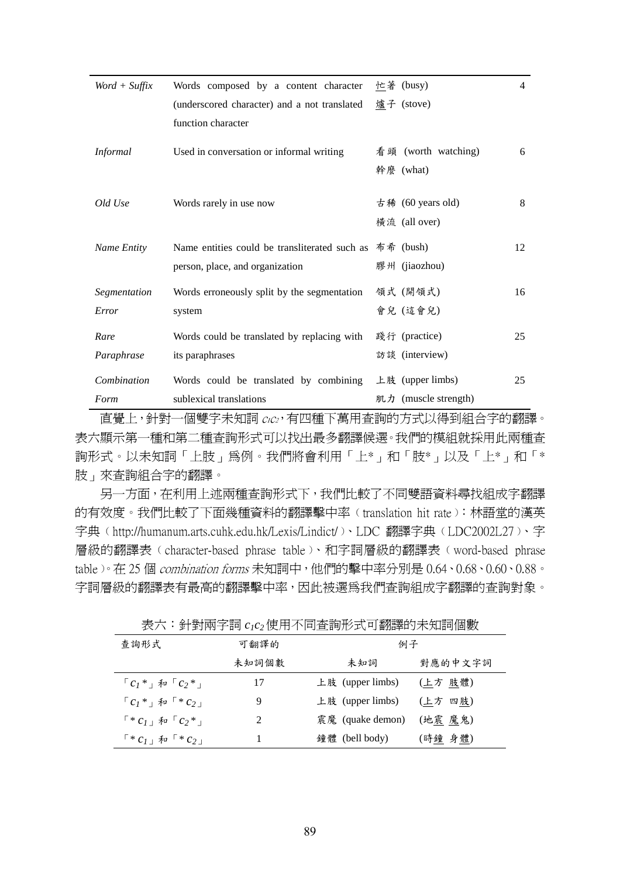| $Word + Suffix$ | Words composed by a content character         | 忙著 (busy)                       | 4  |
|-----------------|-----------------------------------------------|---------------------------------|----|
|                 | (underscored character) and a not translated  | 爐子 (stove)                      |    |
|                 | function character                            |                                 |    |
| <b>Informal</b> | Used in conversation or informal writing      | 看頭 (worth watching)             | 6  |
|                 |                                               | 幹麼 (what)                       |    |
| Old Use         | Words rarely in use now                       | 古稀 (60 years old)               | 8  |
|                 |                                               |                                 |    |
|                 |                                               | 橫流 (all over)                   |    |
| Name Entity     | Name entities could be transliterated such as | 布希 (bush)                       | 12 |
|                 | person, place, and organization               | 膠州 (jiaozhou)                   |    |
| Segmentation    | Words erroneously split by the segmentation   | 領式 (開領式)                        | 16 |
| Error           | system                                        | 會兒(這會兒)                         |    |
| Rare            | Words could be translated by replacing with   | 踐行 (practice)                   | 25 |
| Paraphrase      | its paraphrases                               | 訪談 (interview)                  |    |
| Combination     | Words could be translated by combining        | 上肢 (upper limbs)                | 25 |
| Form            | sublexical translations                       | $\mathcal{H}$ (muscle strength) |    |

直覺上,針對一個雙字未知詞 <sup>c</sup>1c2,有四種下萬用查詢的方式以得到組合字的翻譯。 表六顯示第一種和第二種查詢形式可以找出最多翻譯候選。我們的模組就採用此兩種查 詢形式。以未知詞「上肢」為例。我們將會利用「上\*」和「肢\*」以及「上\*」和「\* 肢」來查詢組合字的翻譯。

 另一方面,在利用上述兩種查詢形式下,我們比較了不同雙語資料尋找組成字翻譯 的有效度。我們比較了下面幾種資料的翻譯擊中率﹙translation hit rate﹚:林語堂的漢英 字典(http://humanum.arts.cuhk.edu.hk/Lexis/Lindict/)、LDC 翻譯字典(LDC2002L27)、字 層級的翻譯表﹙character-based phrase table﹚、和字詞層級的翻譯表﹙word-based phrase table)。在 25 個 combination forms 未知詞中, 他們的擊中率分別是 0.64、0.68、0.60、0.88。 字詞層級的翻譯表有最高的翻譯擊中率,因此被選為我們查詢組成字翻譯的查詢對象。

|                                               |                | $\sim$ . $\sim$ . The contribution of the contribution of the contribution of the contribution of the contribution of the contribution of the contribution of the contribution of the contribution of the contribution of the con |         |
|-----------------------------------------------|----------------|-----------------------------------------------------------------------------------------------------------------------------------------------------------------------------------------------------------------------------------|---------|
| 查詢形式                                          | 可翻譯的           | 例子                                                                                                                                                                                                                                |         |
|                                               | 未知詞個數          | 未知詞                                                                                                                                                                                                                               | 對應的中文字詞 |
| $c_1$ * $\bar{r}$ $\bar{r}$ $c_2$ * $\bar{r}$ | 17             | 上肢 (upper limbs)                                                                                                                                                                                                                  | (上方 肢體) |
| $c_1$ * + $\bar{x}$ u $c_2$ +                 | 9              | 上肢 (upper limbs)                                                                                                                                                                                                                  | (上方 四肢) |
| $\sqrt{a^*c_1 + b^2c_2^*}$                    | $\mathfrak{D}$ | 震魔 (quake demon)                                                                                                                                                                                                                  | (地震 魔鬼) |
| $\sqrt{a^*c_{1}}$ $\sqrt{a^*c_{2}}$           |                | 鐘體 (bell body)                                                                                                                                                                                                                    | (時鐘 身體) |

表六:針對兩字詞 *c1c2*使用不同查詢形式可翻譯的未知詞個數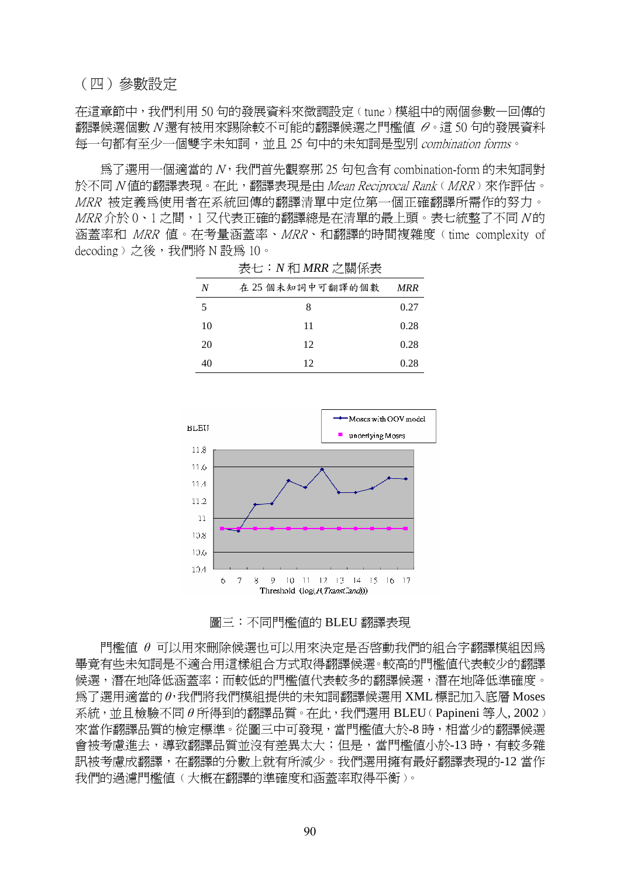#### (四)參數設定

在這章節中,我們利用 50 句的發展資料來微調設定(tune)模組中的兩個參數一回傳的 翻譯候選個數 N 還有被用來踢除較不可能的翻譯候選之門檻值 θ。這 50 句的發展資料 每一句都有至少一個雙字未知詞,並且 25 句中的未知詞是型別 combination forms。

 為了選用一個適當的 N,我們首先觀察那 25 句包含有 combination-form 的未知詞對 於不同 N 值的翻譯表現。在此,翻譯表現是由 Mean Reciprocal Rank (MRR) 來作評估。 MRR 被定義為使用者在系統回傳的翻譯清單中定位第一個正確翻譯所需作的努力。 MRR 介於 0、1 之間,1 又代表正確的翻譯總是在清單的最上頭。表七統整了不同 N的 涵蓋率和 MRR 值。在考量涵蓋率、MRR、和翻譯的時間複雜度﹙time complexity of decoding) 之後,我們將 N 設為 10。

| N  | 在 25 個未知詞中可翻譯的個數 | <b>MRR</b> |  |
|----|------------------|------------|--|
| 5  | 8                | 0.27       |  |
| 10 | 11               | 0.28       |  |
| 20 | 12               | 0.28       |  |
| 40 | 12               | 0.28       |  |

表七:*N* 和 *MRR* 之關係表





門檻值 *θ* 可以用來刪除候選也可以用來決定是否啟動我們的組合字翻譯模組因為 畢竟有些未知詞是不適合用這樣組合方式取得翻譯候選。較高的門檻值代表較少的翻譯 候選,潛在地降低涵蓋率;而較低的門檻值代表較多的翻譯候選,潛在地降低準確度。 為了選用適當的 *θ*,我們將我們模組提供的未知詞翻譯候選用 XML 標記加入底層 Moses 系統,並且檢驗不同 *θ* 所得到的翻譯品質。在此,我們選用 BLEU﹙Papineni 等人, 2002﹚ 來當作翻譯品質的檢定標準。從圖三中可發現,當門檻值大於-8時,相當少的翻譯候選 會被考慮進去,導致翻譯品質並沒有差異太大;但是,當門檻值小於-13 時,有較多雜 訊被考慮成翻譯,在翻譯的分數上就有所減少。我們選用擁有最好翻譯表現的-12 當作 我們的渦濾門檻値(大概在翻譯的進確度和涵蓋率取得平衡)。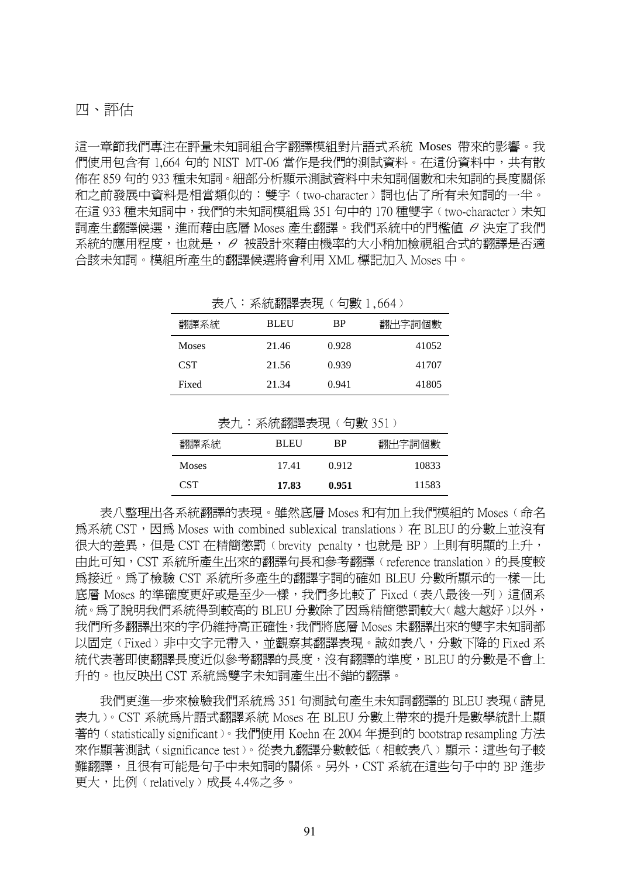#### 四、評估

這一章節我們專注在評量未知詞組合字翻譯模組對片語式系統 Moses 帶來的影響。我 們使用包含有 1,664 句的 NIST MT-06 當作是我們的測試資料。在這份資料中,共有散 佈在 859 句的 933 種未知詞。細部分析顯示測試資料中未知詞個數和未知詞的長度關係 和之前發展中資料是相當類似的:雙字(two-character)詞也佔了所有未知詞的一半。 在這 933 種未知詞中,我們的未知詞模組為 351 句中的 170 種雙字﹙two-character﹚未知 詞產生翻譯候選,進而藉由底層 Moses 產生翻譯。我們系統中的門檻值 θ 決定了我們 系統的應用程度,也就是,θ 被設計來藉由機率的大小稍加檢視組合式的翻譯是否適 合該未知詞。模組所產生的翻譯候選將會利用 XML 標記加入 Moses 中。

表八:系統翻譯表現(句數1,664)

| 翻譯系統         | <b>BLEU</b> | <b>BP</b> | 翻出字詞個數 |
|--------------|-------------|-----------|--------|
| <b>Moses</b> | 21.46       | 0.928     | 41052  |
| <b>CST</b>   | 21.56       | 0.939     | 41707  |
| Fixed        | 21.34       | 0.941     | 41805  |

|                  | 4Xフ L * ラドルTHRIJE手4X-2U ヽ hJ女X フフエノ |           |        |
|------------------|-------------------------------------|-----------|--------|
| 翻譯系統             | <b>BLEU</b>                         | <b>RP</b> | 翻出字詞個數 |
| <b>Moses</b>     | 17.41                               | 0.912     | 10833  |
| CST <sup>-</sup> | 17.83                               | 0.951     | 11583  |

実力: 玄統翻譯実明 / 句動 351)

表八整理出各系統翻譯的表現。雖然底層 Moses 和有加上我們模組的 Moses﹙命名 為系統 CST, 因為 Moses with combined sublexical translations) 在 BLEU 的分數上並沒有 很大的差異,但是 CST 在精簡懲罰(brevity penalty,也就是 BP)上則有明顯的上升, 由此可知,CST 系統所產生出來的翻譯句長和參考翻譯﹙reference translation﹚的長度較 為接近。為了檢驗 CST 系統所多產生的翻譯字詞的確如 BLEU 分數所顯示的一樣—比 底層 Moses 的準確度更好或是至少一樣,我們多比較了 Fixed (表八最後一列)這個系 統。為了說明我們系統得到較高的 BLEU 分數除了因為精簡懲罰較大( 越大越好)以外, 我們所多翻譯出來的字仍維持高正確性,我們將底層 Moses 未翻譯出來的雙字未知詞都 以固定(Fixed)非中文字元帶入,並觀察其翻譯表現。誠如表八,分數下降的 Fixed 系 統代表著即使翻譯長度沂似參考翻譯的長度,沒有翻譯的進度,BLEU 的分數是不會上 升的。也反映出 CST 系統為雙字未知詞產生出不錯的翻譯。

 我們更進一步來檢驗我們系統為 351 句測試句產生未知詞翻譯的 BLEU 表現﹙請見 表九﹚。CST 系統為片語式翻譯系統 Moses 在 BLEU 分數上帶來的提升是數學統計上顯 著的 (statistically significant)。我們使用 Koehn 在 2004 年提到的 bootstrap resampling 方法 來作顯著測試(significance test)。從表九翻譯分數較低(相較表八)顯示:這些句子較 難翻譯,且很有可能是句子中未知詞的關係。另外,CST 系統在這些句子中的 BP 進步 更大,比例﹙relatively﹚成長 4.4%之多。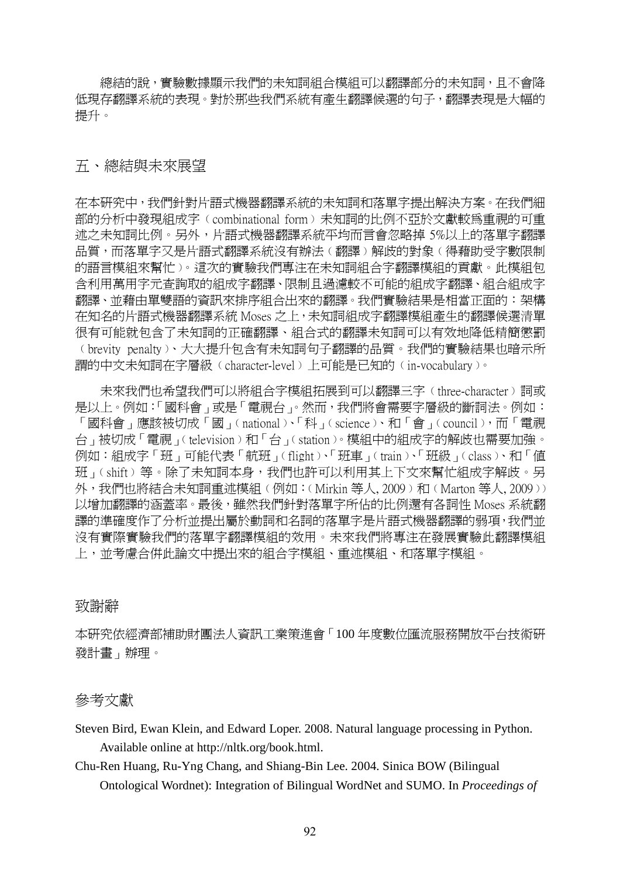總結的說,實驗數據顯示我們的未知詞組合模組可以翻譯部分的未知詞,且不會降 低現存翻譯系統的表現。對於那些我們系統有產生翻譯候選的句子,翻譯表現是大幅的 提升。

### 五、總結與未來展望

在本研究中,我們針對片語式機器翻譯系統的未知詞和落單字提出解決方案。在我們細 部的分析中發現組成字﹙combinational form﹚未知詞的比例不亞於文獻較為重視的可重 述之未知詞比例。另外,片語式機器翻譯系統平均而言會忽略掉 5%以上的落單字翻譯 品質,而落單字又是片語式翻譯系統沒有辦法(翻譯)解歧的對象(得藉助受字數限制 的語言模組來幫忙﹚。這次的實驗我們專注在未知詞組合字翻譯模組的貢獻。此模組包 含利用萬用字元查詢取的組成字翻譯、限制且過濾較不可能的組成字翻譯、組合組成字 翻譯、並藉由單雙語的資訊來排序組合出來的翻譯。我們實驗結果是相當正面的︰架構 在知名的片語式機器翻譯系統 Moses 之上,未知詞組成字翻譯模組產生的翻譯候選清單 很有可能就包含了未知詞的正確翻譯、組合式的翻譯未知詞可以有效地降低精簡懲罰 ﹙brevity penalty﹚、大大提升包含有未知詞句子翻譯的品質。我們的實驗結果也暗示所 謂的中文未知詞在字層級﹙character-level﹚上可能是已知的﹙in-vocabulary﹚。

未來我們也希望我們可以將組合字模組拓展到可以翻譯三字(three-character)詞或 是以上。例如:「國科會」或是「電視台」。然而,我們將會需要字層級的斷詞法。例如: 「國科會」應該被切成「國」﹙national﹚、「科」﹙science﹚、和「會」﹙council﹚,而「電視 台」被切成「電視」﹙television﹚和「台」﹙station﹚。模組中的組成字的解歧也需要加強。 例如:組成字「班」可能代表「航班」﹙flight﹚、「班車」﹙train﹚、「班級」﹙class﹚、和「值 班」(shift)等。除了未知詞本身,我們也許可以利用其上下文來幫忙組成字解歧。另 外,我們也將結合未知詞重述模組(例如:‹Mirkin 等人, 2009﹚和‹Marton 等人, 2009﹚) 以增加翻譯的涵蓋率。最後,雖然我們針對落單字所佔的比例還有各詞性 Moses 系統翻 譯的準確度作了分析並提出屬於動詞和名詞的落單字是片語式機器翻譯的弱項,我們並 沒有實際實驗我們的落單字翻譯模組的效用。未來我們將專注在發展實驗此翻譯模組 上,並考慮合併此論文中提出來的組合字模組、重述模組、和落單字模組。

#### 致謝辭

本研究依經濟部補助財團法人資訊工業策進會「100 年度數位匯流服務開放平台技術研 發計畫」辦理。

#### 參考文獻

Steven Bird, Ewan Klein, and Edward Loper. 2008. Natural language processing in Python. Available online at http://nltk.org/book.html.

Chu-Ren Huang, Ru-Yng Chang, and Shiang-Bin Lee. 2004. Sinica BOW (Bilingual Ontological Wordnet): Integration of Bilingual WordNet and SUMO. In *Proceedings of*